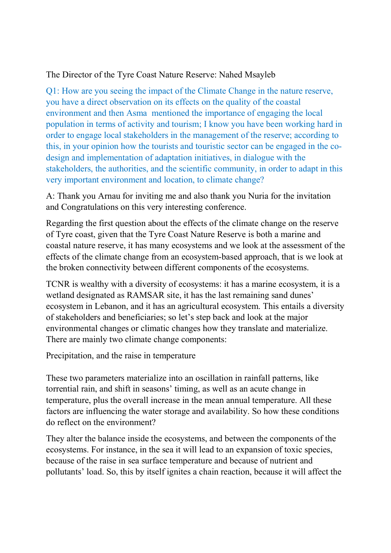## The Director of the Tyre Coast Nature Reserve: Nahed Msayleb

Q1: How are you seeing the impact of the Climate Change in the nature reserve, you have a direct observation on its effects on the quality of the coastal environment and then Asma mentioned the importance of engaging the local population in terms of activity and tourism; I know you have been working hard in order to engage local stakeholders in the management of the reserve; according to this, in your opinion how the tourists and touristic sector can be engaged in the codesign and implementation of adaptation initiatives, in dialogue with the stakeholders, the authorities, and the scientific community, in order to adapt in this very important environment and location, to climate change?

A: Thank you Arnau for inviting me and also thank you Nuria for the invitation and Congratulations on this very interesting conference.

Regarding the first question about the effects of the climate change on the reserve of Tyre coast, given that the Tyre Coast Nature Reserve is both a marine and coastal nature reserve, it has many ecosystems and we look at the assessment of the effects of the climate change from an ecosystem-based approach, that is we look at the broken connectivity between different components of the ecosystems.

TCNR is wealthy with a diversity of ecosystems: it has a marine ecosystem, it is a wetland designated as RAMSAR site, it has the last remaining sand dunes' ecosystem in Lebanon, and it has an agricultural ecosystem. This entails a diversity of stakeholders and beneficiaries; so let's step back and look at the major environmental changes or climatic changes how they translate and materialize. There are mainly two climate change components:

Precipitation, and the raise in temperature

These two parameters materialize into an oscillation in rainfall patterns, like torrential rain, and shift in seasons' timing, as well as an acute change in temperature, plus the overall increase in the mean annual temperature. All these factors are influencing the water storage and availability. So how these conditions do reflect on the environment?

They alter the balance inside the ecosystems, and between the components of the ecosystems. For instance, in the sea it will lead to an expansion of toxic species, because of the raise in sea surface temperature and because of nutrient and pollutants' load. So, this by itself ignites a chain reaction, because it will affect the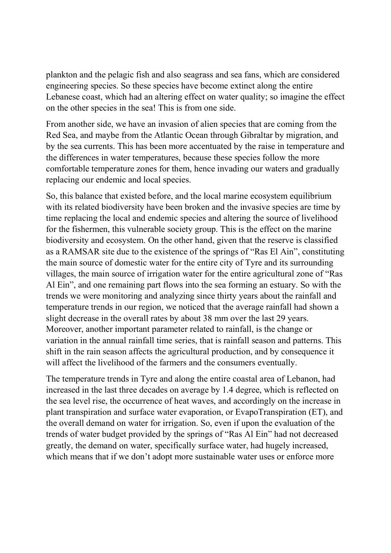plankton and the pelagic fish and also seagrass and sea fans, which are considered engineering species. So these species have become extinct along the entire Lebanese coast, which had an altering effect on water quality; so imagine the effect on the other species in the sea! This is from one side.

From another side, we have an invasion of alien species that are coming from the Red Sea, and maybe from the Atlantic Ocean through Gibraltar by migration, and by the sea currents. This has been more accentuated by the raise in temperature and the differences in water temperatures, because these species follow the more comfortable temperature zones for them, hence invading our waters and gradually replacing our endemic and local species.

So, this balance that existed before, and the local marine ecosystem equilibrium with its related biodiversity have been broken and the invasive species are time by time replacing the local and endemic species and altering the source of livelihood for the fishermen, this vulnerable society group. This is the effect on the marine biodiversity and ecosystem. On the other hand, given that the reserve is classified as a RAMSAR site due to the existence of the springs of "Ras El Ain", constituting the main source of domestic water for the entire city of Tyre and its surrounding villages, the main source of irrigation water for the entire agricultural zone of "Ras Al Ein", and one remaining part flows into the sea forming an estuary. So with the trends we were monitoring and analyzing since thirty years about the rainfall and temperature trends in our region, we noticed that the average rainfall had shown a slight decrease in the overall rates by about 38 mm over the last 29 years. Moreover, another important parameter related to rainfall, is the change or variation in the annual rainfall time series, that is rainfall season and patterns. This shift in the rain season affects the agricultural production, and by consequence it will affect the livelihood of the farmers and the consumers eventually.

The temperature trends in Tyre and along the entire coastal area of Lebanon, had increased in the last three decades on average by 1.4 degree, which is reflected on the sea level rise, the occurrence of heat waves, and accordingly on the increase in plant transpiration and surface water evaporation, or EvapoTranspiration (ET), and the overall demand on water for irrigation. So, even if upon the evaluation of the trends of water budget provided by the springs of "Ras Al Ein" had not decreased greatly, the demand on water, specifically surface water, had hugely increased, which means that if we don't adopt more sustainable water uses or enforce more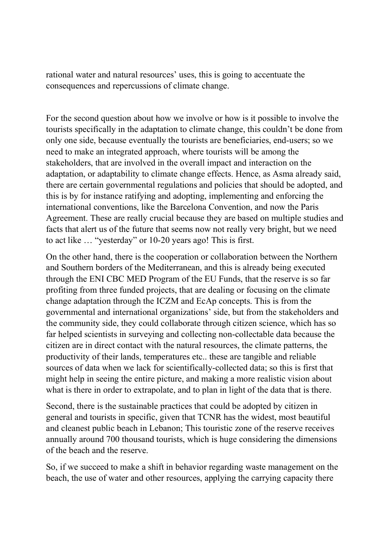rational water and natural resources' uses, this is going to accentuate the consequences and repercussions of climate change.

For the second question about how we involve or how is it possible to involve the tourists specifically in the adaptation to climate change, this couldn't be done from only one side, because eventually the tourists are beneficiaries, end-users; so we need to make an integrated approach, where tourists will be among the stakeholders, that are involved in the overall impact and interaction on the adaptation, or adaptability to climate change effects. Hence, as Asma already said, there are certain governmental regulations and policies that should be adopted, and this is by for instance ratifying and adopting, implementing and enforcing the international conventions, like the Barcelona Convention, and now the Paris Agreement. These are really crucial because they are based on multiple studies and facts that alert us of the future that seems now not really very bright, but we need to act like … "yesterday" or 10-20 years ago! This is first.

On the other hand, there is the cooperation or collaboration between the Northern and Southern borders of the Mediterranean, and this is already being executed through the ENI CBC MED Program of the EU Funds, that the reserve is so far profiting from three funded projects, that are dealing or focusing on the climate change adaptation through the ICZM and EcAp concepts. This is from the governmental and international organizations' side, but from the stakeholders and the community side, they could collaborate through citizen science, which has so far helped scientists in surveying and collecting non-collectable data because the citizen are in direct contact with the natural resources, the climate patterns, the productivity of their lands, temperatures etc.. these are tangible and reliable sources of data when we lack for scientifically-collected data; so this is first that might help in seeing the entire picture, and making a more realistic vision about what is there in order to extrapolate, and to plan in light of the data that is there.

Second, there is the sustainable practices that could be adopted by citizen in general and tourists in specific, given that TCNR has the widest, most beautiful and cleanest public beach in Lebanon; This touristic zone of the reserve receives annually around 700 thousand tourists, which is huge considering the dimensions of the beach and the reserve.

So, if we succeed to make a shift in behavior regarding waste management on the beach, the use of water and other resources, applying the carrying capacity there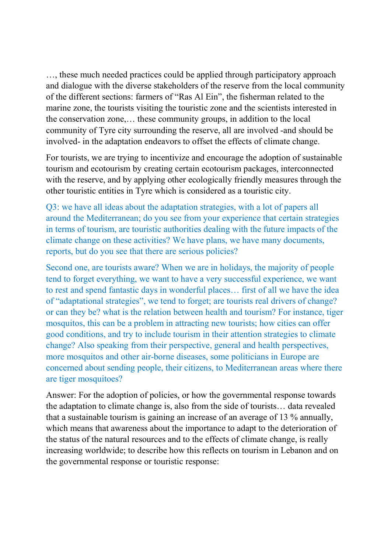…, these much needed practices could be applied through participatory approach and dialogue with the diverse stakeholders of the reserve from the local community of the different sections: farmers of "Ras Al Ein", the fisherman related to the marine zone, the tourists visiting the touristic zone and the scientists interested in the conservation zone,… these community groups, in addition to the local community of Tyre city surrounding the reserve, all are involved -and should be involved- in the adaptation endeavors to offset the effects of climate change.

For tourists, we are trying to incentivize and encourage the adoption of sustainable tourism and ecotourism by creating certain ecotourism packages, interconnected with the reserve, and by applying other ecologically friendly measures through the other touristic entities in Tyre which is considered as a touristic city.

Q3: we have all ideas about the adaptation strategies, with a lot of papers all around the Mediterranean; do you see from your experience that certain strategies in terms of tourism, are touristic authorities dealing with the future impacts of the climate change on these activities? We have plans, we have many documents, reports, but do you see that there are serious policies?

Second one, are tourists aware? When we are in holidays, the majority of people tend to forget everything, we want to have a very successful experience, we want to rest and spend fantastic days in wonderful places… first of all we have the idea of "adaptational strategies", we tend to forget; are tourists real drivers of change? or can they be? what is the relation between health and tourism? For instance, tiger mosquitos, this can be a problem in attracting new tourists; how cities can offer good conditions, and try to include tourism in their attention strategies to climate change? Also speaking from their perspective, general and health perspectives, more mosquitos and other air-borne diseases, some politicians in Europe are concerned about sending people, their citizens, to Mediterranean areas where there are tiger mosquitoes?

Answer: For the adoption of policies, or how the governmental response towards the adaptation to climate change is, also from the side of tourists… data revealed that a sustainable tourism is gaining an increase of an average of 13 % annually, which means that awareness about the importance to adapt to the deterioration of the status of the natural resources and to the effects of climate change, is really increasing worldwide; to describe how this reflects on tourism in Lebanon and on the governmental response or touristic response: